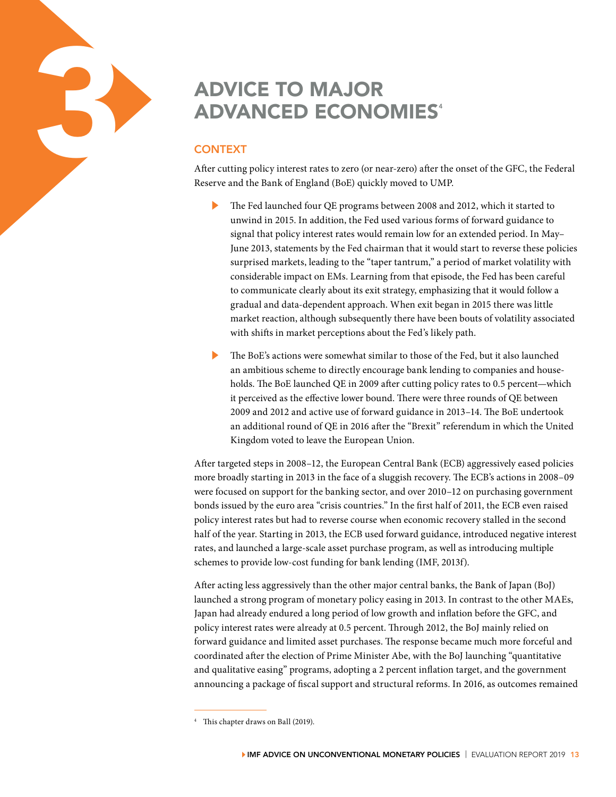# ADVICE TO MAJOR<br>
ADVANCED ECONO<br>
CONTEXT<br>
After cutting policy interest rates to zero (or near<br>
Reserve and the Bank of England (BoE) quickly **ADVANCED ECONOMIES<sup>4</sup>**

# **CONTEXT**

After cutting policy interest rates to zero (or near-zero) after the onset of the GFC, the Federal Reserve and the Bank of England (BoE) quickly moved to UMP.

- The Fed launched four QE programs between 2008 and 2012, which it started to unwind in 2015. In addition, the Fed used various forms of forward guidance to signal that policy interest rates would remain low for an extended period. In May– June 2013, statements by the Fed chairman that it would start to reverse these policies surprised markets, leading to the "taper tantrum," a period of market volatility with considerable impact on EMs. Learning from that episode, the Fed has been careful to communicate clearly about its exit strategy, emphasizing that it would follow a gradual and data-dependent approach. When exit began in 2015 there was little market reaction, although subsequently there have been bouts of volatility associated with shifts in market perceptions about the Fed's likely path.
- The BoE's actions were somewhat similar to those of the Fed, but it also launched an ambitious scheme to directly encourage bank lending to companies and households. The BoE launched QE in 2009 after cutting policy rates to 0.5 percent—which it perceived as the effective lower bound. There were three rounds of QE between 2009 and 2012 and active use of forward guidance in 2013–14. The BoE undertook an additional round of QE in 2016 after the "Brexit" referendum in which the United Kingdom voted to leave the European Union.

After targeted steps in 2008–12, the European Central Bank (ECB) aggressively eased policies more broadly starting in 2013 in the face of a sluggish recovery. The ECB's actions in 2008–09 were focused on support for the banking sector, and over 2010–12 on purchasing government bonds issued by the euro area "crisis countries." In the first half of 2011, the ECB even raised policy interest rates but had to reverse course when economic recovery stalled in the second half of the year. Starting in 2013, the ECB used forward guidance, introduced negative interest rates, and launched a large-scale asset purchase program, as well as introducing multiple schemes to provide low-cost funding for bank lending (IMF, 2013f).

After acting less aggressively than the other major central banks, the Bank of Japan (BoJ) launched a strong program of monetary policy easing in 2013. In contrast to the other MAEs, Japan had already endured a long period of low growth and inflation before the GFC, and policy interest rates were already at 0.5 percent. Through 2012, the BoJ mainly relied on forward guidance and limited asset purchases. The response became much more forceful and coordinated after the election of Prime Minister Abe, with the BoJ launching "quantitative and qualitative easing" programs, adopting a 2 percent inflation target, and the government announcing a package of fiscal support and structural reforms. In 2016, as outcomes remained

This chapter draws on Ball (2019).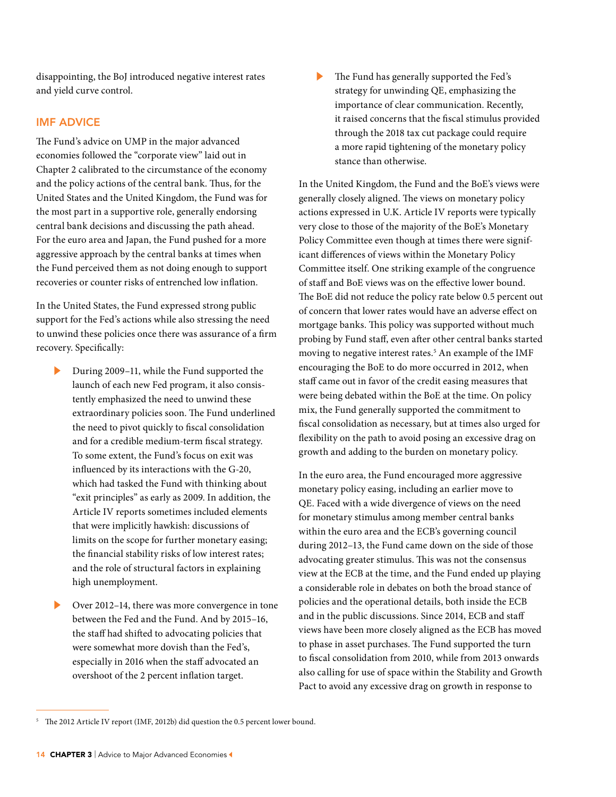disappointing, the BoJ introduced negative interest rates and yield curve control.

# IMF ADVICE

The Fund's advice on UMP in the major advanced economies followed the "corporate view" laid out in Chapter 2 calibrated to the circumstance of the economy and the policy actions of the central bank. Thus, for the United States and the United Kingdom, the Fund was for the most part in a supportive role, generally endorsing central bank decisions and discussing the path ahead. For the euro area and Japan, the Fund pushed for a more aggressive approach by the central banks at times when the Fund perceived them as not doing enough to support recoveries or counter risks of entrenched low inflation.

In the United States, the Fund expressed strong public support for the Fed's actions while also stressing the need to unwind these policies once there was assurance of a firm recovery. Specifically:

- During 2009–11, while the Fund supported the launch of each new Fed program, it also consistently emphasized the need to unwind these extraordinary policies soon. The Fund underlined the need to pivot quickly to fiscal consolidation and for a credible medium-term fiscal strategy. To some extent, the Fund's focus on exit was influenced by its interactions with the G-20, which had tasked the Fund with thinking about "exit principles" as early as 2009. In addition, the Article IV reports sometimes included elements that were implicitly hawkish: discussions of limits on the scope for further monetary easing; the financial stability risks of low interest rates; and the role of structural factors in explaining high unemployment.
- Over 2012–14, there was more convergence in tone between the Fed and the Fund. And by 2015–16, the staff had shifted to advocating policies that were somewhat more dovish than the Fed's, especially in 2016 when the staff advocated an overshoot of the 2 percent inflation target.

The Fund has generally supported the Fed's strategy for unwinding QE, emphasizing the importance of clear communication. Recently, it raised concerns that the fiscal stimulus provided through the 2018 tax cut package could require a more rapid tightening of the monetary policy stance than otherwise.

In the United Kingdom, the Fund and the BoE's views were generally closely aligned. The views on monetary policy actions expressed in U.K. Article IV reports were typically very close to those of the majority of the BoE's Monetary Policy Committee even though at times there were significant differences of views within the Monetary Policy Committee itself. One striking example of the congruence of staff and BoE views was on the effective lower bound. The BoE did not reduce the policy rate below 0.5 percent out of concern that lower rates would have an adverse effect on mortgage banks. This policy was supported without much probing by Fund staff, even after other central banks started moving to negative interest rates.<sup>5</sup> An example of the IMF encouraging the BoE to do more occurred in 2012, when staff came out in favor of the credit easing measures that were being debated within the BoE at the time. On policy mix, the Fund generally supported the commitment to fiscal consolidation as necessary, but at times also urged for flexibility on the path to avoid posing an excessive drag on growth and adding to the burden on monetary policy.

In the euro area, the Fund encouraged more aggressive monetary policy easing, including an earlier move to QE. Faced with a wide divergence of views on the need for monetary stimulus among member central banks within the euro area and the ECB's governing council during 2012–13, the Fund came down on the side of those advocating greater stimulus. This was not the consensus view at the ECB at the time, and the Fund ended up playing a considerable role in debates on both the broad stance of policies and the operational details, both inside the ECB and in the public discussions. Since 2014, ECB and staff views have been more closely aligned as the ECB has moved to phase in asset purchases. The Fund supported the turn to fiscal consolidation from 2010, while from 2013 onwards also calling for use of space within the Stability and Growth Pact to avoid any excessive drag on growth in response to

<sup>5</sup> The 2012 Article IV report (IMF, 2012b) did question the 0.5 percent lower bound.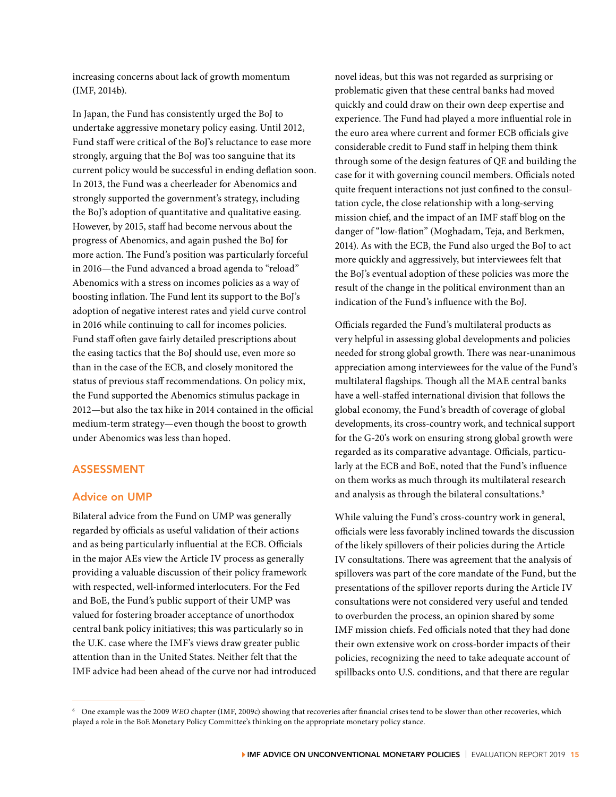increasing concerns about lack of growth momentum (IMF, 2014b).

In Japan, the Fund has consistently urged the BoJ to undertake aggressive monetary policy easing. Until 2012, Fund staff were critical of the BoJ's reluctance to ease more strongly, arguing that the BoJ was too sanguine that its current policy would be successful in ending deflation soon. In 2013, the Fund was a cheerleader for Abenomics and strongly supported the government's strategy, including the BoJ's adoption of quantitative and qualitative easing. However, by 2015, staff had become nervous about the progress of Abenomics, and again pushed the BoJ for more action. The Fund's position was particularly forceful in 2016—the Fund advanced a broad agenda to "reload" Abenomics with a stress on incomes policies as a way of boosting inflation. The Fund lent its support to the BoJ's adoption of negative interest rates and yield curve control in 2016 while continuing to call for incomes policies. Fund staff often gave fairly detailed prescriptions about the easing tactics that the BoJ should use, even more so than in the case of the ECB, and closely monitored the status of previous staff recommendations. On policy mix, the Fund supported the Abenomics stimulus package in 2012—but also the tax hike in 2014 contained in the official medium-term strategy—even though the boost to growth under Abenomics was less than hoped.

#### ASSESSMENT

### Advice on UMP

Bilateral advice from the Fund on UMP was generally regarded by officials as useful validation of their actions and as being particularly influential at the ECB. Officials in the major AEs view the Article IV process as generally providing a valuable discussion of their policy framework with respected, well-informed interlocuters. For the Fed and BoE, the Fund's public support of their UMP was valued for fostering broader acceptance of unorthodox central bank policy initiatives; this was particularly so in the U.K. case where the IMF's views draw greater public attention than in the United States. Neither felt that the IMF advice had been ahead of the curve nor had introduced

novel ideas, but this was not regarded as surprising or problematic given that these central banks had moved quickly and could draw on their own deep expertise and experience. The Fund had played a more influential role in the euro area where current and former ECB officials give considerable credit to Fund staff in helping them think through some of the design features of QE and building the case for it with governing council members. Officials noted quite frequent interactions not just confined to the consultation cycle, the close relationship with a long-serving mission chief, and the impact of an IMF staff blog on the danger of "low-flation" (Moghadam, Teja, and Berkmen, 2014). As with the ECB, the Fund also urged the BoJ to act more quickly and aggressively, but interviewees felt that the BoJ's eventual adoption of these policies was more the result of the change in the political environment than an indication of the Fund's influence with the BoJ.

Officials regarded the Fund's multilateral products as very helpful in assessing global developments and policies needed for strong global growth. There was near-unanimous appreciation among interviewees for the value of the Fund's multilateral flagships. Though all the MAE central banks have a well-staffed international division that follows the global economy, the Fund's breadth of coverage of global developments, its cross-country work, and technical support for the G-20's work on ensuring strong global growth were regarded as its comparative advantage. Officials, particularly at the ECB and BoE, noted that the Fund's influence on them works as much through its multilateral research and analysis as through the bilateral consultations.<sup>6</sup>

While valuing the Fund's cross-country work in general, officials were less favorably inclined towards the discussion of the likely spillovers of their policies during the Article IV consultations. There was agreement that the analysis of spillovers was part of the core mandate of the Fund, but the presentations of the spillover reports during the Article IV consultations were not considered very useful and tended to overburden the process, an opinion shared by some IMF mission chiefs. Fed officials noted that they had done their own extensive work on cross-border impacts of their policies, recognizing the need to take adequate account of spillbacks onto U.S. conditions, and that there are regular

<sup>6</sup> One example was the 2009 *WEO* chapter (IMF, 2009c) showing that recoveries after financial crises tend to be slower than other recoveries, which played a role in the BoE Monetary Policy Committee's thinking on the appropriate monetary policy stance.